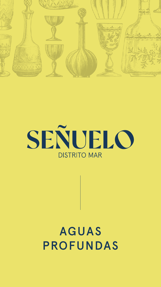



# AGUAS PROFUNDAS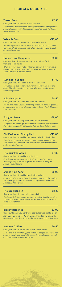# HIGH SEA COCKTAILS

#### Turrón Sour

Cast your line... if you sail in fresh waters.



*The best of Christmas without having to wait for it. Frangelico of*  hazelnuts, lemon, egg white, cinnamon and caramel. For those *with a sweet tooth.*

You will begin to savour the bitter and acidic flavours. Our own *vermouth of red wine, eight year old whisky, lemon and a touch of Valencian orange.*

#### Valencia Sour

Cast your line... if you want a homemade aperitif.

€10,00

When they tell you it's not healthy, you can say that your vodka is mixed with market peas, fresh strawberries and the scent of *citric. That's what you call healthy.* 

#### Homegrown Happiness

Cast your line… if you are looking for something fresh from the countryside.

€8,00

*Still haven't made up your mind? Any colour but white. A glass full of tequila, mango, mango liqueur and a red curry froth. Stand out from the crowd.*

### Summer in Japan

Cast your line… if you like a drop of the exotic.

### €7,50

*The Japanese also sweat in summertime. That's why they dive into cold vodka, sweetened by red fruits, lychee and a secret oriental ingredient.*

#### Spicy Margarita

Cast your line… if you're into rebel princesses.

# €9,50

#### Xoriguer Mule

Cast your line… if you prefer Menorca to Moscow.

#### €8,00

*Xoriguer is a Balearic gin macerated in citric peel. You won't miss the vodka, because it's got passion fruit purée and ginger beer.*

At the end of a day's fishing, the coffee awaits you, and we're not *messing about: rum, laced with cocoa, lemon, cinnamon, as well as coffee liqueur, vanilla and agave.*

#### Old Fashioned Chargrilled

Cast your line… if you like them grey-haired, but with flair.

€10,00

*The classics have a special aroma, which we in Señuelo make even better over charcoal. This cocktail also has smoked whisky* 

### The Drunken Apple

Cast your line… if you like a fruity drop.

*Elderflower, green apple, a touch of citric… As if you were spending a day in the countryside, but instead of filling the basket, you hit the gin.*

### Smoke King Kong

Cast your line… if you like to raise the stakes.

€8,00

*At the end of the movie, there is no giant monkey on the rooftop, but rather spiced rum, homemade chargrilled banana purée, banana and lime syrup.*

### The Brazilian Fig

Cast your line… if summer just speeds by.

€8,20

*The fig is a fruit that comes and goes in a flash. Luckily, there's a marmalade made from it, which we mix with Brazilian cachaça and a touch of lime.*

# Bloody Balcones

Cast your line… if you want your cocktail served up like a dish.

€7,00

*Mary can stay at home. We prefer to mix the tomato juice with smoked Balcones Brimstone whisky, spicy sauce and shrimp juice.*

### Señuelo Coffee

Cast your line… if it's time to return to the shore.

$$
\epsilon
$$
6,50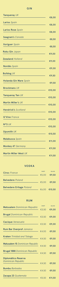| <b>Tanqueray UK</b>     | €8,00 |
|-------------------------|-------|
|                         |       |
| Larios Spain            | €8,00 |
|                         |       |
| Larios Rose Spain       | €8,00 |
|                         |       |
| Seagram's Canada        | €8,50 |
|                         |       |
| <b>Xoriguer</b> Spain   |       |
|                         | €8,50 |
| Roku Gin Japan          |       |
|                         | €9,00 |
| <b>Zeealand Holland</b> |       |
|                         | €9,00 |
| Nordés Spain            |       |
|                         | €9,00 |

| <b>Bulldog UK</b>             | €9,50  |
|-------------------------------|--------|
| <b>Holanda Gin Mare Spain</b> | €9,50  |
| <b>Brockmans UK</b>           | €10,00 |
| <b>Tanqueray Ten UK</b>       | €10,00 |
| Martin Miller's UK            | €10,00 |
| Hendrick's Scotland           | €10,00 |
| G'Vine France                 | €10,00 |
| N°3 UK                        | €10,00 |
| Sipsmith UK                   | €10,50 |
| Malabusca Spain               |        |

€11,50

€11,00

Martin Miller West *UK*

€11,50

# GIN

# VODKA

### RUM

Brugal *Dominican Republic*

| Ciroc France                    | <b>SHOT</b> | <b>GLASS</b>    |
|---------------------------------|-------------|-----------------|
|                                 | £5,00       | €9,50           |
| <b>Belvedere</b> Poland         | € $5,00$    | $\epsilon$ 9,50 |
| <b>Belvedere Eritage Poland</b> |             | €6,00 €10,50    |

| $\blacksquare$                        | £3,50                          | €9,00            |
|---------------------------------------|--------------------------------|------------------|
| Cacique Venezuela                     | £3,50                          | €9,00            |
| Rum Bar Overprof Jamaica              | €4,00                          | €9,50            |
| Kraken Trinidad and Tobago            | $\epsilon$ 4,50                | €9,50            |
| Matusalem 15 Dominican Republic       | €4.50                          | €9,50            |
| <b>Brugal 1888 Dominican Republic</b> | €4,50                          | £9,50            |
| <b>Diplomático Reserva</b>            |                                |                  |
| <b>Dominican Republic</b>             | $\epsilon$ 4,50 $\epsilon$ 9,5 |                  |
| <b>Bumbu Barbados</b>                 | €4,50                          | £9,50            |
| Zacapa 23 Guatemala                   | € $5,50$                       | $\epsilon$ 11,50 |

| Matusalem Dominican Republic | <b>SHOT</b> | GLASS                           |
|------------------------------|-------------|---------------------------------|
|                              |             | $\epsilon$ 3,50 $\epsilon$ 9,00 |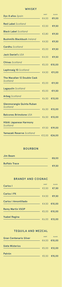# WHISKY

# BOURBON

Jim Beam €8,00 Buffalo Trace €9,50

| Dyc 8 años Spain                        | <b>SHOT</b> | <b>GLASS</b>                    |
|-----------------------------------------|-------------|---------------------------------|
|                                         | €4,00       | €9,00                           |
| Red Label Scotland                      | £3,50       | €9,50                           |
| <b>Black Label Scotland</b>             | £3,80       | €9,50                           |
| <b>Bushmills Blackbush Ireland</b>      |             | €4,50 <b>€9,50</b>              |
| Cardhu Scotland                         | £5,00       | $\epsilon$ 9,50                 |
| <b>Jack Daniel's USA</b>                |             | $\epsilon$ 4,00 $\epsilon$ 9,50 |
| <b>Chivas Scotland</b>                  |             | €5,00 €10,00                    |
| Laphroaig 10 Scotland                   |             | €4,50 €11,00                    |
| The Macallan 12 Double Cask<br>Scotland |             |                                 |
| Lagayulin Scotland                      |             | € $5,00$ €11,50                 |
| <b>Arbeg Scotland</b>                   |             | €5,00 €11,50<br>€6,50 €13,00    |
| Glenmorangie Quinta Ruban               |             |                                 |
| Scotland                                |             | €6,50 €13,00                    |
| <b>Balcones Brimstone USA</b>           |             | €6,50 €13,00                    |
| Hibiki Japanese Harmony<br>Scotland     |             | €9,50 €19,00                    |
| Yamazaki Reserve Scotland               |             | €12,00 €24,00                   |
|                                         |             |                                 |

# BRANDY AND COGNAC

# TEQUILA AND MEZCAL

| <b>Carlos</b> I             | <b>SHOT</b>     | <b>GLASS</b>     |
|-----------------------------|-----------------|------------------|
|                             | $\epsilon$ 3,50 | €7,50            |
| <b>Carlos I PX</b>          | €4,50           | £9,50            |
| <b>Carlos   Amontillado</b> |                 | €4,50 €10,00     |
| <b>Remy Martin VSOP</b>     | £5,00           | $\epsilon$ 10,00 |

| <b>Gran Centenario Silver</b> | <b>SHOT</b> | <b>GLASS</b> |
|-------------------------------|-------------|--------------|
|                               |             | €4,00 €10,00 |
| <b>Siete Misterios</b>        |             | €5,00 €12,00 |
| Patrón                        |             | €5,50 €15,00 |

€6,00 €13,00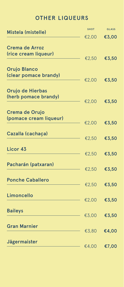# OTHER LIQUEURS

| Mistela (mistelle)    | <b>SHOT</b> | <b>GLASS</b>    |
|-----------------------|-------------|-----------------|
|                       | £2,00       | £3,00           |
| Crema de Arroz        |             |                 |
| (rice cream liqueur)  | €2,50       | €3,50           |
| <b>Orujo Blanco</b>   |             |                 |
| (clear pomace brandy) | £2,00       | $\epsilon$ 3,50 |
| Orujo de Hierbas      |             |                 |
| (herb pomace brandy)  | €2,00       | £3,50           |

| Crema de Orujo          |                 |                 |
|-------------------------|-----------------|-----------------|
| (pomace cream liqueur)  | €2,00           | £3,50           |
| Cazalla (cachaça)       | €2,50           | €3,50           |
| Licor 43                | €2,50           | $\epsilon$ 3,50 |
| Pacharán (patxaran)     | €2,50           | €3,50           |
| <b>Ponche Caballero</b> | $\epsilon$ 2,50 | €3,50           |
| Limoncello              | €2,00           | £3,50           |

Baileys

€3,00 €3,50

#### Gran Marnier

€3,80 €4,00

Jägermaister

€4,00 €7,00